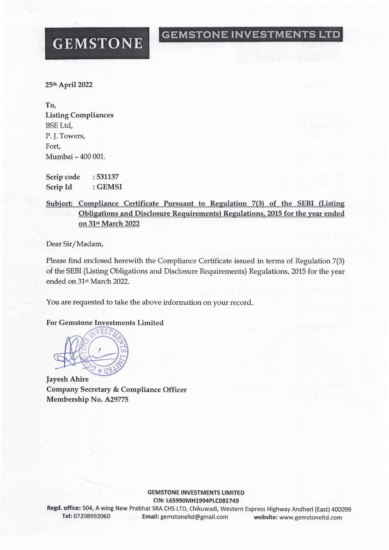## **GEMSTONE INVESTMENTS LTD**

# **GEMSTONE**

25th April 2022

To, Listing Compliances BSE Ltd, P. J. Towers, Fort, Mumbai - 400 001.

Scrip code Scrip Id : 531137 : GEMSI

### Subject: Compliance Certificate Pursuant to Regulation 7(3) of the SEBI (Listing Obligations and Disclosure Requirements) Regulations, 2015 for the year ended on 31st March 2022

Dear Sir/Madam,

Please find enclosed herewith the Compliance Certificate issued in terms of Regulation 7(3) of the SEBI (Listing Obligations and Disclosure Requirements) Regulations, 2015 for the year ended on 31st March 2022.

You are requested to take the above information on your record.

#### **For Gemstone Investments Limited**



**Jayesh Ahire** Company Secretary & Compliance Officer Membership No. A29775

> GEMSTONE INVESTMENTS LIMITED CIN: L65990MH1994PLC081749

Regd. office: 504, A wing New Prabhat SRA CHS LTD, Chikuwadi, Western Express Highway Andheri (East) 400099 Tel: 07208992060 Email: gemstoneltd@gmail,com website: www.gemstoneltd.com